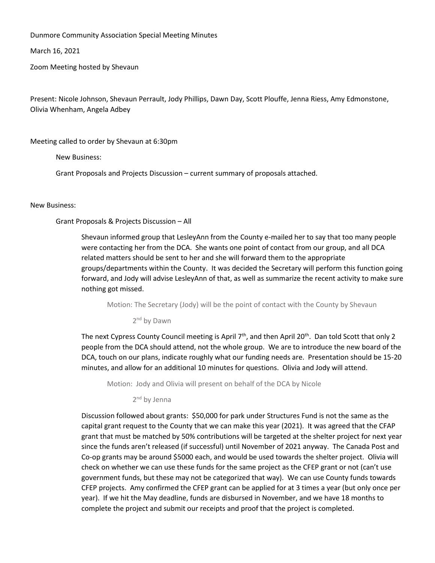Dunmore Community Association Special Meeting Minutes

March 16, 2021

Zoom Meeting hosted by Shevaun

Present: Nicole Johnson, Shevaun Perrault, Jody Phillips, Dawn Day, Scott Plouffe, Jenna Riess, Amy Edmonstone, Olivia Whenham, Angela Adbey

Meeting called to order by Shevaun at 6:30pm

New Business:

Grant Proposals and Projects Discussion – current summary of proposals attached.

## New Business:

Grant Proposals & Projects Discussion – All

Shevaun informed group that LesleyAnn from the County e-mailed her to say that too many people were contacting her from the DCA. She wants one point of contact from our group, and all DCA related matters should be sent to her and she will forward them to the appropriate groups/departments within the County. It was decided the Secretary will perform this function going forward, and Jody will advise LesleyAnn of that, as well as summarize the recent activity to make sure nothing got missed.

Motion: The Secretary (Jody) will be the point of contact with the County by Shevaun

2<sup>nd</sup> by Dawn

The next Cypress County Council meeting is April  $7<sup>th</sup>$ , and then April 20<sup>th</sup>. Dan told Scott that only 2 people from the DCA should attend, not the whole group. We are to introduce the new board of the DCA, touch on our plans, indicate roughly what our funding needs are. Presentation should be 15-20 minutes, and allow for an additional 10 minutes for questions. Olivia and Jody will attend.

Motion: Jody and Olivia will present on behalf of the DCA by Nicole

2<sup>nd</sup> by Jenna

Discussion followed about grants: \$50,000 for park under Structures Fund is not the same as the capital grant request to the County that we can make this year (2021). It was agreed that the CFAP grant that must be matched by 50% contributions will be targeted at the shelter project for next year since the funds aren't released (if successful) until November of 2021 anyway. The Canada Post and Co-op grants may be around \$5000 each, and would be used towards the shelter project. Olivia will check on whether we can use these funds for the same project as the CFEP grant or not (can't use government funds, but these may not be categorized that way). We can use County funds towards CFEP projects. Amy confirmed the CFEP grant can be applied for at 3 times a year (but only once per year). If we hit the May deadline, funds are disbursed in November, and we have 18 months to complete the project and submit our receipts and proof that the project is completed.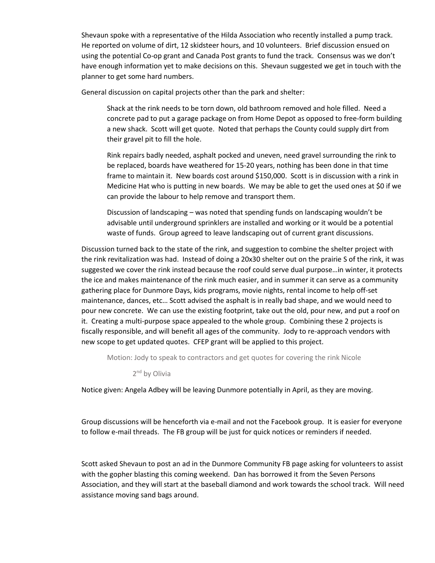Shevaun spoke with a representative of the Hilda Association who recently installed a pump track. He reported on volume of dirt, 12 skidsteer hours, and 10 volunteers. Brief discussion ensued on using the potential Co-op grant and Canada Post grants to fund the track. Consensus was we don't have enough information yet to make decisions on this. Shevaun suggested we get in touch with the planner to get some hard numbers.

General discussion on capital projects other than the park and shelter:

- Shack at the rink needs to be torn down, old bathroom removed and hole filled. Need a concrete pad to put a garage package on from Home Depot as opposed to free-form building a new shack. Scott will get quote. Noted that perhaps the County could supply dirt from their gravel pit to fill the hole.
- Rink repairs badly needed, asphalt pocked and uneven, need gravel surrounding the rink to be replaced, boards have weathered for 15-20 years, nothing has been done in that time frame to maintain it. New boards cost around \$150,000. Scott is in discussion with a rink in Medicine Hat who is putting in new boards. We may be able to get the used ones at \$0 if we can provide the labour to help remove and transport them.
- Discussion of landscaping was noted that spending funds on landscaping wouldn't be advisable until underground sprinklers are installed and working or it would be a potential waste of funds. Group agreed to leave landscaping out of current grant discussions.

Discussion turned back to the state of the rink, and suggestion to combine the shelter project with the rink revitalization was had. Instead of doing a 20x30 shelter out on the prairie S of the rink, it was suggested we cover the rink instead because the roof could serve dual purpose…in winter, it protects the ice and makes maintenance of the rink much easier, and in summer it can serve as a community gathering place for Dunmore Days, kids programs, movie nights, rental income to help off-set maintenance, dances, etc… Scott advised the asphalt is in really bad shape, and we would need to pour new concrete. We can use the existing footprint, take out the old, pour new, and put a roof on it. Creating a multi-purpose space appealed to the whole group. Combining these 2 projects is fiscally responsible, and will benefit all ages of the community. Jody to re-approach vendors with new scope to get updated quotes. CFEP grant will be applied to this project.

Motion: Jody to speak to contractors and get quotes for covering the rink Nicole

2<sup>nd</sup> by Olivia

Notice given: Angela Adbey will be leaving Dunmore potentially in April, as they are moving.

Group discussions will be henceforth via e-mail and not the Facebook group. It is easier for everyone to follow e-mail threads. The FB group will be just for quick notices or reminders if needed.

Scott asked Shevaun to post an ad in the Dunmore Community FB page asking for volunteers to assist with the gopher blasting this coming weekend. Dan has borrowed it from the Seven Persons Association, and they will start at the baseball diamond and work towards the school track. Will need assistance moving sand bags around.